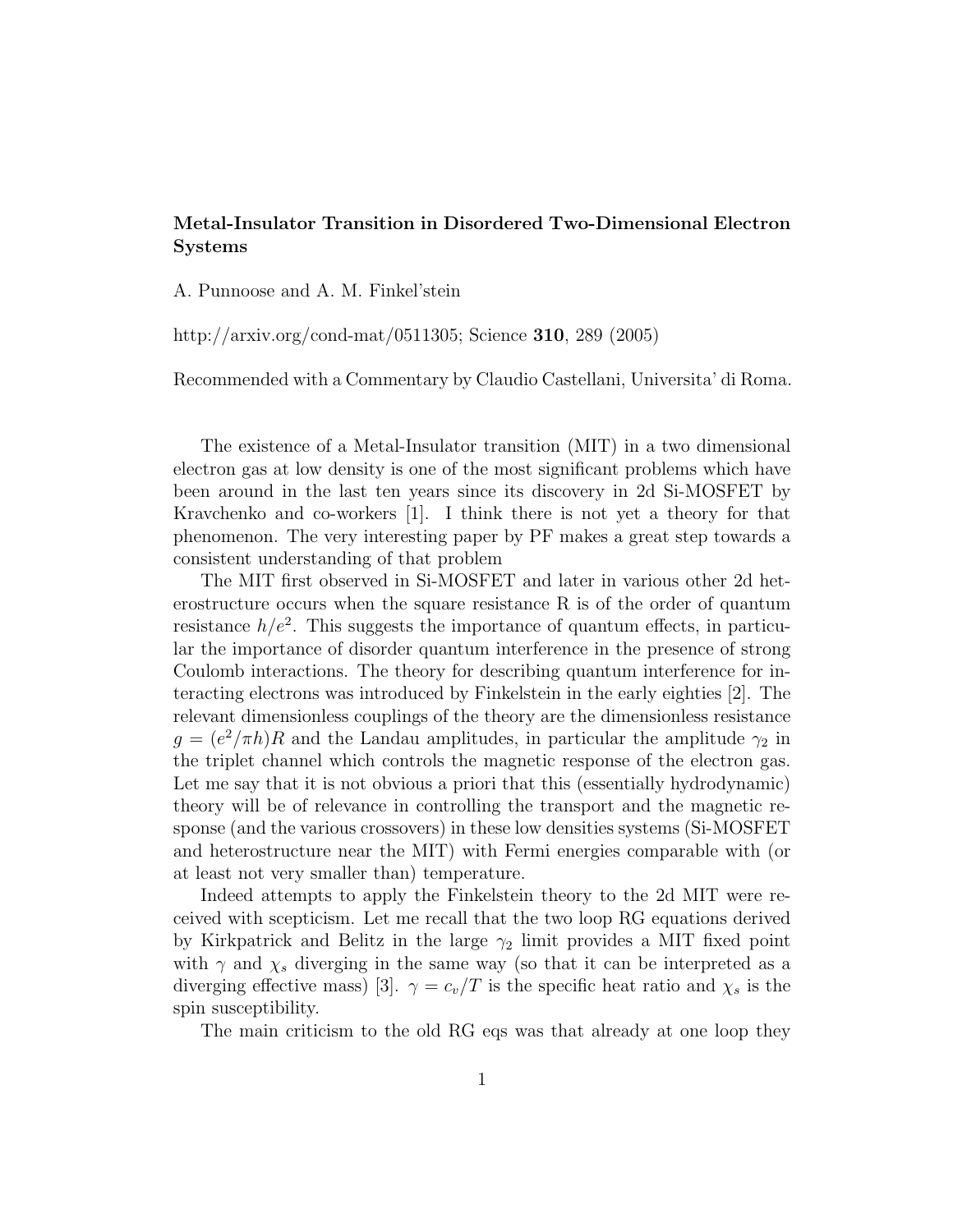## Metal-Insulator Transition in Disordered Two-Dimensional Electron Systems

A. Punnoose and A. M. Finkel'stein

http://arxiv.org/cond-mat/0511305; Science 310, 289 (2005)

Recommended with a Commentary by Claudio Castellani, Universita' di Roma.

The existence of a Metal-Insulator transition (MIT) in a two dimensional electron gas at low density is one of the most significant problems which have been around in the last ten years since its discovery in 2d Si-MOSFET by Kravchenko and co-workers [1]. I think there is not yet a theory for that phenomenon. The very interesting paper by PF makes a great step towards a consistent understanding of that problem

The MIT first observed in Si-MOSFET and later in various other 2d heterostructure occurs when the square resistance R is of the order of quantum resistance  $h/e^2$ . This suggests the importance of quantum effects, in particular the importance of disorder quantum interference in the presence of strong Coulomb interactions. The theory for describing quantum interference for interacting electrons was introduced by Finkelstein in the early eighties [2]. The relevant dimensionless couplings of the theory are the dimensionless resistance  $g = (e^2/\pi h)R$  and the Landau amplitudes, in particular the amplitude  $\gamma_2$  in the triplet channel which controls the magnetic response of the electron gas. Let me say that it is not obvious a priori that this (essentially hydrodynamic) theory will be of relevance in controlling the transport and the magnetic response (and the various crossovers) in these low densities systems (Si-MOSFET and heterostructure near the MIT) with Fermi energies comparable with (or at least not very smaller than) temperature.

Indeed attempts to apply the Finkelstein theory to the 2d MIT were received with scepticism. Let me recall that the two loop RG equations derived by Kirkpatrick and Belitz in the large  $\gamma_2$  limit provides a MIT fixed point with  $\gamma$  and  $\chi_s$  diverging in the same way (so that it can be interpreted as a diverging effective mass) [3].  $\gamma = c_v/T$  is the specific heat ratio and  $\chi_s$  is the spin susceptibility.

The main criticism to the old RG eqs was that already at one loop they